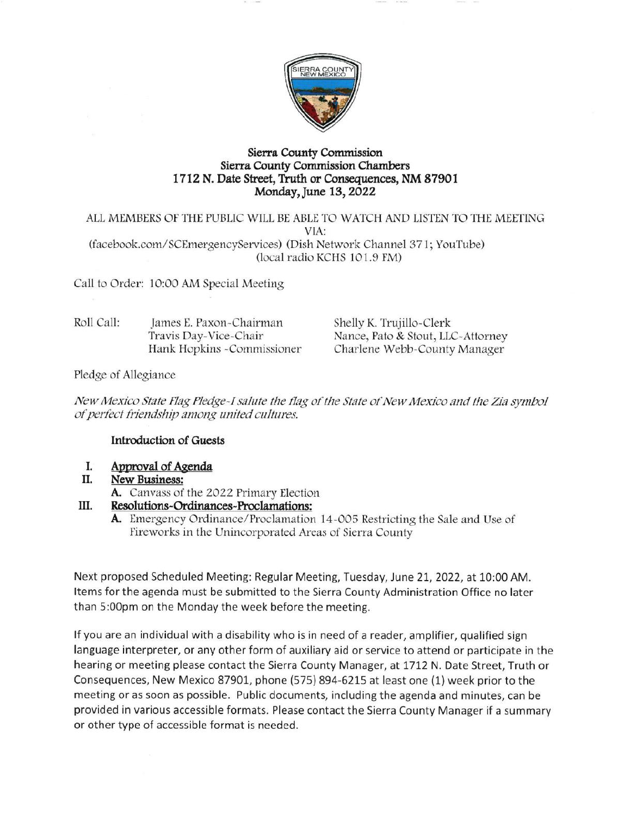

#### Sierra County Commission Sierra County Commission Chambers 1712 N. Date Street, Truth or Consequences, NM 87901 Monday, June 13, 2022

ALL MEMBERS OF THE PUBLIC WILL BE ABLE TO WATCH AND LISTEN TO THE MEETING VIA: (facebook.com/SCEmergencyServices) (Dish Network Channel 37 1 ; YouTube) (local radio KCHS 101.9 FM)

Call to Order: 10:00 AM Special Meeting

| Roll Call: | James E. Paxon-Chairman     |
|------------|-----------------------------|
|            | Travis Day-Vice-Chair       |
|            | Hank Hopkins - Commissioner |

Shelly K. Trujillo-Clerk Nance, Pato & Stout, LLC-Attorney Charlene Webb-County Manager

Pledge of Allegiance

New Mexico State Elag Pledge-I salute the tlag of the State of New Mexico and the Zia symbol of perfect friendship among united cultures.

#### Introduction of Guests

- I. Approval of Agenda II. New Business:
- 
- A. Canvass of the 2022 Primary Election<br>III. Resolutions-Ordinances-Proclamations:

A. Emergency Ordinance/Proclamation 14-005 Restricting the Sale and Use of Fireworks in the Unincorporated Areas of Sierra County

Next proposed Scheduled Meeting: Regular Meeting, Tuesday, June 21,,2022, at 10:00 AM. Items for the agenda must be submitted to the Sierra County Administration Office no later than 5:00pm on the Monday the week before the meeting.

lf you are an individual with a disability who is in need of a reader, amplifier, qualified sign language interpreter, or any other form of auxiliary aid or service to attend or participate in the hearing or meeting please contact the Sierra County Manager, at 1712 N. Date Street, Truth or Consequences, New Mexico 87901, phone (575) 894-6215 at least one (1) week prior to the meeting or as soon as possible. Public documents, including the agenda and minutes, can be provided in various accessible formats. Please contact the Sierra County Manager if a summary or other type of accessible format is needed.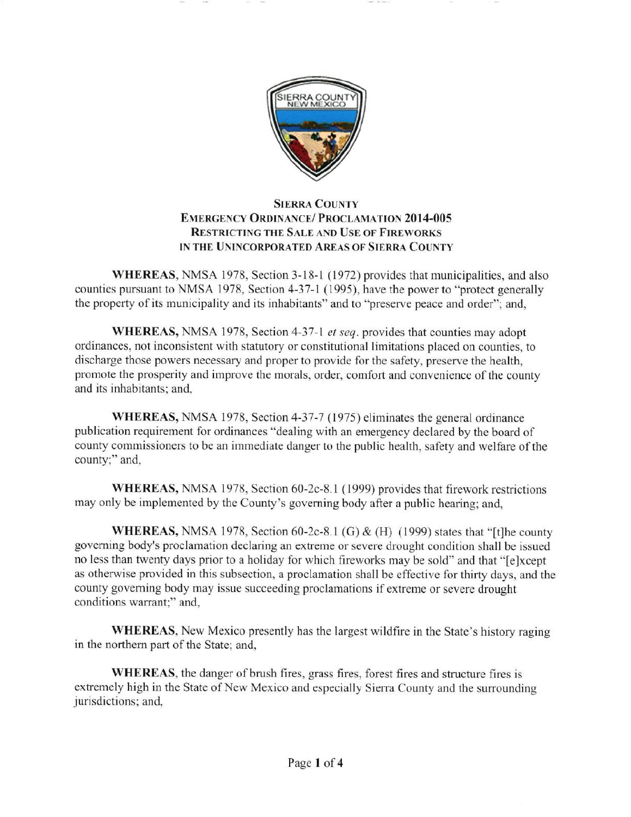

#### SIERRA CoUNTY **EMERGENCY ORDINANCE/ PROCLAMATION 2014-005** RESTRICTING THE SALE AND USE oF FIREWoRKS IN THE UNINCORPORATED AREAS OF SIERRA COUNTY

WHEREAS, NMSA 1978, Section 3-18-l (1972) provides that municipalities, and also counties pursuant to NMSA 1978, Section 4-37-l (1995), have the power to "protect generally the property of its municipality and its inhabitants" and to "preserve peace and order"; and,

WHEREAS, NMSA 1978, Section 4-37-1 et seq. provides that counties may adopt ordinances, not inconsistent with statutory or constitutional limitations placed on counties, to discharge those powers necessary and proper to provide for the safety, preserve the health, promote the prosperity and improve the morals, order, comfort and convenience of the county and its inhabitants; and,

WHEREAS, NMSA 1978, Section 4-37-7 (1975) eliminates the general ordinance publication requirement for ordinances "dealing with an emergency declared by the board of county commissioners to be an immediate danger to the public health, safety and welfare of the county;" and,

WHEREAS, NMSA 1978, Section 60-2c-8.1 (1999) provides that firework restrictions may only be implemented by the County's goveming body after a public hearing; and,

WHEREAS, NMSA 1978, Section 60-2c-8.1 (G)  $\&$  (H) (1999) states that "[t]he county goveming body's proclamation declaring an extreme or severe drought condition shall be issued no less than twenty days prior to a holiday for which fireworks may be sold" and that "[e]xcept as otherwise provided in this subsection, a proclamation shall be effective for thirty days, and the county goveming body may issue succeeding proclamations if extreme or severe drought conditions warrant;" and,

WHEREAS, New Mexico presently has the largest wildfire in the State's history raging in the northern part of the State; and,

WHEREAS, the danger of brush fires, grass fires, forest fires and structure fires is extremely high in the State of New Mexico and especially Sierra County and the surrounding jurisdictions; and,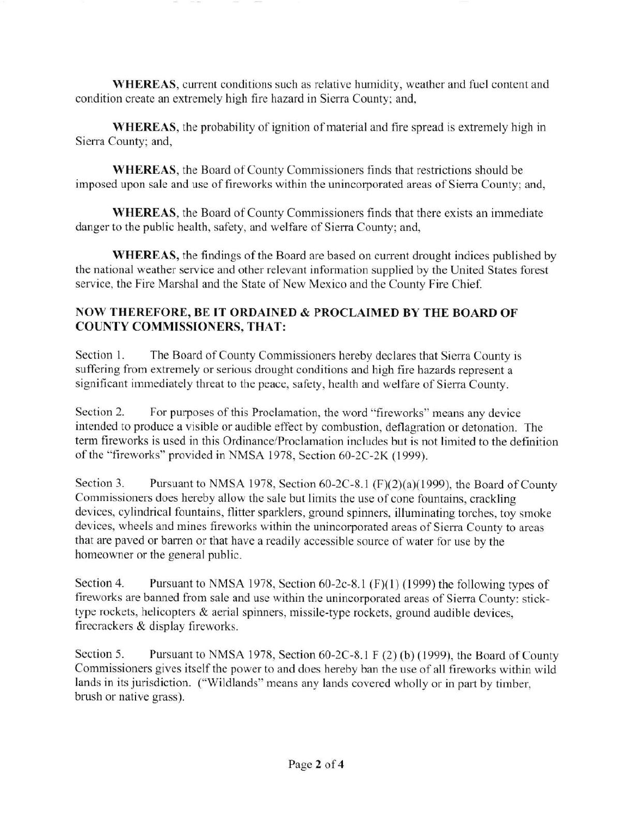WHEREAS, current conditions such as relative humidity, weather and fuel content and condition create an extremely high fire hazard in Sierra County; and,

WHEREAS, the probability of ignition of material and fire spread is extremely high in Sierra County; and,

WHEREAS, the Board of County Commissioners finds that restrictions should be imposed upon sale and use of fireworks within the unincorporated areas of Sierra County; and,

WHEREAS, the Board of County Commissioners finds that there exists an immediate danger to the public health, safety, and welfare of Sierra County; and,

WHEREAS, the findings of the Board are based on current drought indices published by the national weather service and other relevant information supplied by the United States forest service, the Fire Marshal and the State of New Mexico and the County Fire Chief.

## NOW THEREFORE, BE IT ORDAINED & PROCLAIMED BY THE BOARD OF COUNTY COMMISSIONERS, THAT:

Section 1. The Board of County Commissioners hereby declares that Sierra County is suffering from extremely or serious drought conditions and high fire hazards represent a significant immediately threat to the peace, safety, health and welfare of Sierra County.

Section 2. For purposes of this Proclamation, the word "fireworks" means any device intended to produce a visible or audible effect by combustion, deflagration or detonation. The term fireworks is used in this Ordinance/Proclamation includes but is not limited to the definition of the "fireworks" provided in NMSA 1978, Section 60-2C-2K (1999).

Section 3. Pursuant to NMSA 1978, Section  $60-2C-8.1$  (F)(2)(a)(1999), the Board of County Commissioners does hereby allow the sale but limits the use of cone fountains, crackling devices, cylindrical fountains, flitter sparklers, ground spinners, illuminating torches, toy smoke devices, wheels and mines fireworks within the unincorporated areas of Sierra County to areas that are paved or barren or that have a readily accessible source of water for use by the homeowner or the general public.

Section 4. Pursuant to NMSA 1978, Section  $60-2c-8.1$  (F)(1) (1999) the following types of fireworks are banned from sale and use within the unincorporated areas of Sierra County: sticktype rockets, helicopters & aerial spinners, missile-type rockets, ground audible devices, firecrackers & display fireworks.

Section 5. Pursuant to NMSA 1978, Section 60-2C-8.1 F (2) (b) (1999), the Board of County Commissioners gives itself the power to and does hereby ban the use of all fireworks within wild lands in its jurisdiction. ("Wildlands" means any lands covered wholly or in part by timber, brush or native grass).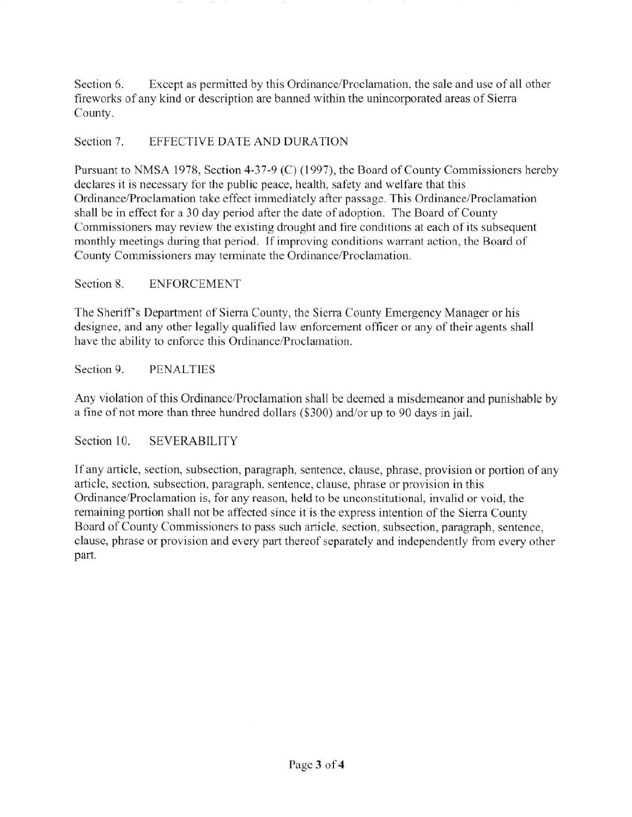Section 6. Except as permitted by this Ordinance/Proclamation, the sale and use of all other fireworks of any kind or description are bamed within the unincorporated areas of Sierra County.

## Section 7. EFFECTIVE DATE AND DURATION

Pursuant to NMSA 1978, Section 4-37-9  $(C)$  (1997), the Board of County Commissioners hereby declares it is necessary for the public peace, health, safety and welfare that this Ordinance/Proclamation take effect immediately after passage. This Ordinance/Proclamation shall be in effect for a 30 day period after the date of adoption. The Board of County Commissioners may review the existing drought and fire conditions at each of its subsequent monthly meetings during that period. If improving conditions warrant action, the Board of County Commissioners may terminate the Ordinance/Proclamation.

Section 8. ENFORCEMENT

The Sheriff's Department of Sierra County, the Sierra County Emergency Manager or his designee, and any other legally qualified law enforcement officer or any of their agents shall have the ability to enforce this Ordinance/Proclamation.

Section 9. PENALTIES

Any violation of this Ordinance/Proclamation shall be deemed a misdemeanor and punishable by a fine of not more than three hundred dollars (\$300) and/or up to 90 days in jail.

Section 10. SEVERABILITY

If any article, section, subsection, paragraph, sentence, clause, phrase, provision or portion of any article, section, subsection, paragraph, sentence, clause, phrase or provision in this Ordinance/Proclamation is, for any reason, held to be unconstitutional, invalid or void, the remaining portion shall not be affected since it is the express intention of the Sierra County Board of County Commissioners to pass such article, section, subsection, paragraph, sentence, clause, phrase or provision and every part thereof separately and independently from every other part.